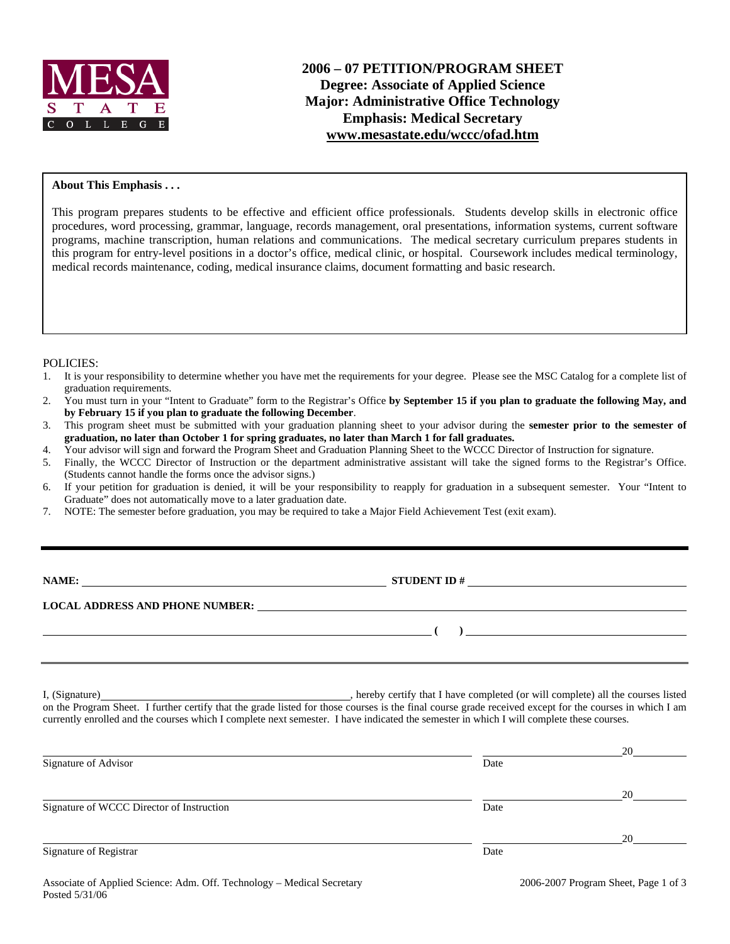

#### **About This Emphasis . . .**

This program prepares students to be effective and efficient office professionals. Students develop skills in electronic office procedures, word processing, grammar, language, records management, oral presentations, information systems, current software programs, machine transcription, human relations and communications. The medical secretary curriculum prepares students in this program for entry-level positions in a doctor's office, medical clinic, or hospital. Coursework includes medical terminology, medical records maintenance, coding, medical insurance claims, document formatting and basic research.

### POLICIES:

- 1. It is your responsibility to determine whether you have met the requirements for your degree. Please see the MSC Catalog for a complete list of graduation requirements.
- 2. You must turn in your "Intent to Graduate" form to the Registrar's Office **by September 15 if you plan to graduate the following May, and by February 15 if you plan to graduate the following December**.
- 3. This program sheet must be submitted with your graduation planning sheet to your advisor during the **semester prior to the semester of graduation, no later than October 1 for spring graduates, no later than March 1 for fall graduates.**
- 4. Your advisor will sign and forward the Program Sheet and Graduation Planning Sheet to the WCCC Director of Instruction for signature.
- 5. Finally, the WCCC Director of Instruction or the department administrative assistant will take the signed forms to the Registrar's Office. (Students cannot handle the forms once the advisor signs.)
- 6. If your petition for graduation is denied, it will be your responsibility to reapply for graduation in a subsequent semester. Your "Intent to Graduate" does not automatically move to a later graduation date.
- 7. NOTE: The semester before graduation, you may be required to take a Major Field Achievement Test (exit exam).

| <b>NAME:</b> |  |
|--------------|--|
|--------------|--|

**NAMES IN STUDENT ID #** 

 **( )** 

### **LOCAL ADDRESS AND PHONE NUMBER:**

I, (Signature) , hereby certify that I have completed (or will complete) all the courses listed on the Program Sheet. I further certify that the grade listed for those courses is the final course grade received except for the courses in which I am currently enrolled and the courses which I complete next semester. I have indicated the semester in which I will complete these courses.

|      | 20 |
|------|----|
| Date |    |
|      | 20 |
| Date |    |
|      | 20 |
| Date |    |
|      |    |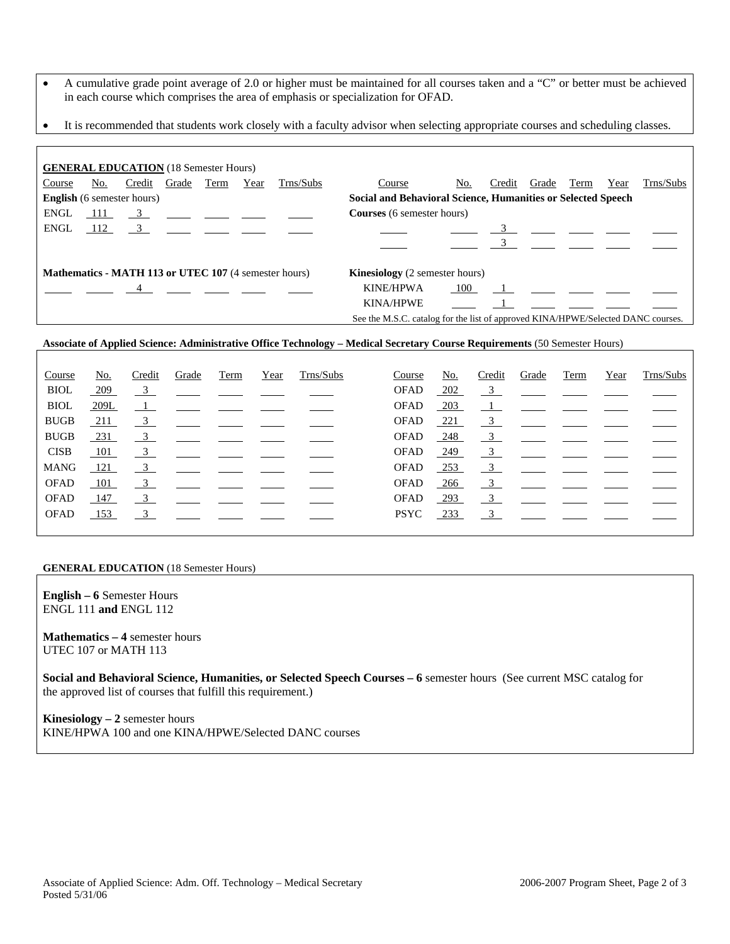- A cumulative grade point average of 2.0 or higher must be maintained for all courses taken and a "C" or better must be achieved in each course which comprises the area of emphasis or specialization for OFAD.
- It is recommended that students work closely with a faculty advisor when selecting appropriate courses and scheduling classes.

| <b>GENERAL EDUCATION</b> (18 Semester Hours)                 |                                                                                  |                                                                       |  |      |      |                                       |                                                              |     |        |             |      |      |           |
|--------------------------------------------------------------|----------------------------------------------------------------------------------|-----------------------------------------------------------------------|--|------|------|---------------------------------------|--------------------------------------------------------------|-----|--------|-------------|------|------|-----------|
| Course                                                       | <u>No.</u>                                                                       | Credit Grade                                                          |  | Term | Year | Trns/Subs                             | Course                                                       | No. | Credit | Grade       | Term | Year | Trns/Subs |
| <b>English</b> (6 semester hours)                            |                                                                                  |                                                                       |  |      |      |                                       | Social and Behavioral Science, Humanities or Selected Speech |     |        |             |      |      |           |
| <b>ENGL</b>                                                  | 111                                                                              | $\frac{3}{2}$ $\frac{1}{2}$ $\frac{1}{2}$ $\frac{1}{2}$ $\frac{1}{2}$ |  |      |      |                                       | <b>Courses</b> (6 semester hours)                            |     |        |             |      |      |           |
| ENGL                                                         |                                                                                  | $112 \t 3$                                                            |  |      |      |                                       |                                                              |     |        |             |      |      |           |
|                                                              |                                                                                  |                                                                       |  |      |      |                                       |                                                              |     |        |             |      |      |           |
| <b>Mathematics - MATH 113 or UTEC 107 (4 semester hours)</b> |                                                                                  |                                                                       |  |      |      | <b>Kinesiology</b> (2 semester hours) |                                                              |     |        |             |      |      |           |
|                                                              |                                                                                  | $\overline{4}$                                                        |  |      |      |                                       | <b>KINE/HPWA</b>                                             | 100 |        | $\mathbf 1$ |      |      |           |
|                                                              |                                                                                  |                                                                       |  |      |      |                                       | <b>KINA/HPWE</b>                                             |     |        |             |      |      |           |
|                                                              | See the M.S.C. catalog for the list of approved KINA/HPWE/Selected DANC courses. |                                                                       |  |      |      |                                       |                                                              |     |        |             |      |      |           |

#### **Associate of Applied Science: Administrative Office Technology – Medical Secretary Course Requirements** (50 Semester Hours)

| Course      | No.        | Credit                    | Grade | Term                                         | Year | Trns/Subs | Course      | <u>No.</u> | Credit                  | Grade                                                   | Term | Year | Trns/Subs |
|-------------|------------|---------------------------|-------|----------------------------------------------|------|-----------|-------------|------------|-------------------------|---------------------------------------------------------|------|------|-----------|
| <b>BIOL</b> | <u>209</u> | $\overline{\mathbf{3}}$   |       | <u> 1999 - Jan Barnett, fransk politik (</u> |      |           | <b>OFAD</b> | <u>202</u> |                         | $\frac{3}{2}$ $\frac{1}{2}$ $\frac{1}{2}$ $\frac{1}{2}$ |      |      |           |
| <b>BIOL</b> | 209L       |                           |       |                                              |      |           | <b>OFAD</b> | $-203$     |                         |                                                         |      |      |           |
| <b>BUGB</b> | 211        | 3                         |       |                                              |      |           | <b>OFAD</b> | 221        | $\frac{3}{2}$           |                                                         |      |      |           |
| <b>BUGB</b> | 231        | $\overline{\phantom{0}3}$ |       |                                              |      |           | <b>OFAD</b> | 248        | $\frac{3}{2}$           | the control of the control of the control of            |      |      |           |
| <b>CISB</b> | 101        | $\frac{3}{2}$             |       |                                              |      |           | <b>OFAD</b> | $-249$     | $\frac{3}{2}$           |                                                         |      |      |           |
| <b>MANG</b> | 121        | $\overline{\mathbf{3}}$   |       |                                              |      |           | <b>OFAD</b> | $-253$     | $\overline{\mathbf{3}}$ |                                                         |      |      |           |
| <b>OFAD</b> | 101        | $\overline{\mathbf{3}}$   |       |                                              |      |           | <b>OFAD</b> | 266        |                         | $\frac{3}{2}$ $\frac{1}{2}$ $\frac{1}{2}$               |      |      |           |
| <b>OFAD</b> | 147        |                           |       |                                              |      |           | <b>OFAD</b> | 293        | $\frac{3}{2}$           |                                                         |      |      |           |
| OFAD        | 153        | 3                         |       |                                              |      |           | <b>PSYC</b> | 233        | 3                       |                                                         |      |      |           |
|             |            |                           |       |                                              |      |           |             |            |                         |                                                         |      |      |           |

#### **GENERAL EDUCATION** (18 Semester Hours)

**English – 6** Semester Hours ENGL 111 **and** ENGL 112

**Mathematics – 4** semester hours UTEC 107 or MATH 113

**Social and Behavioral Science, Humanities, or Selected Speech Courses – 6** semester hours (See current MSC catalog for the approved list of courses that fulfill this requirement.)

**Kinesiology – 2** semester hours KINE/HPWA 100 and one KINA/HPWE/Selected DANC courses